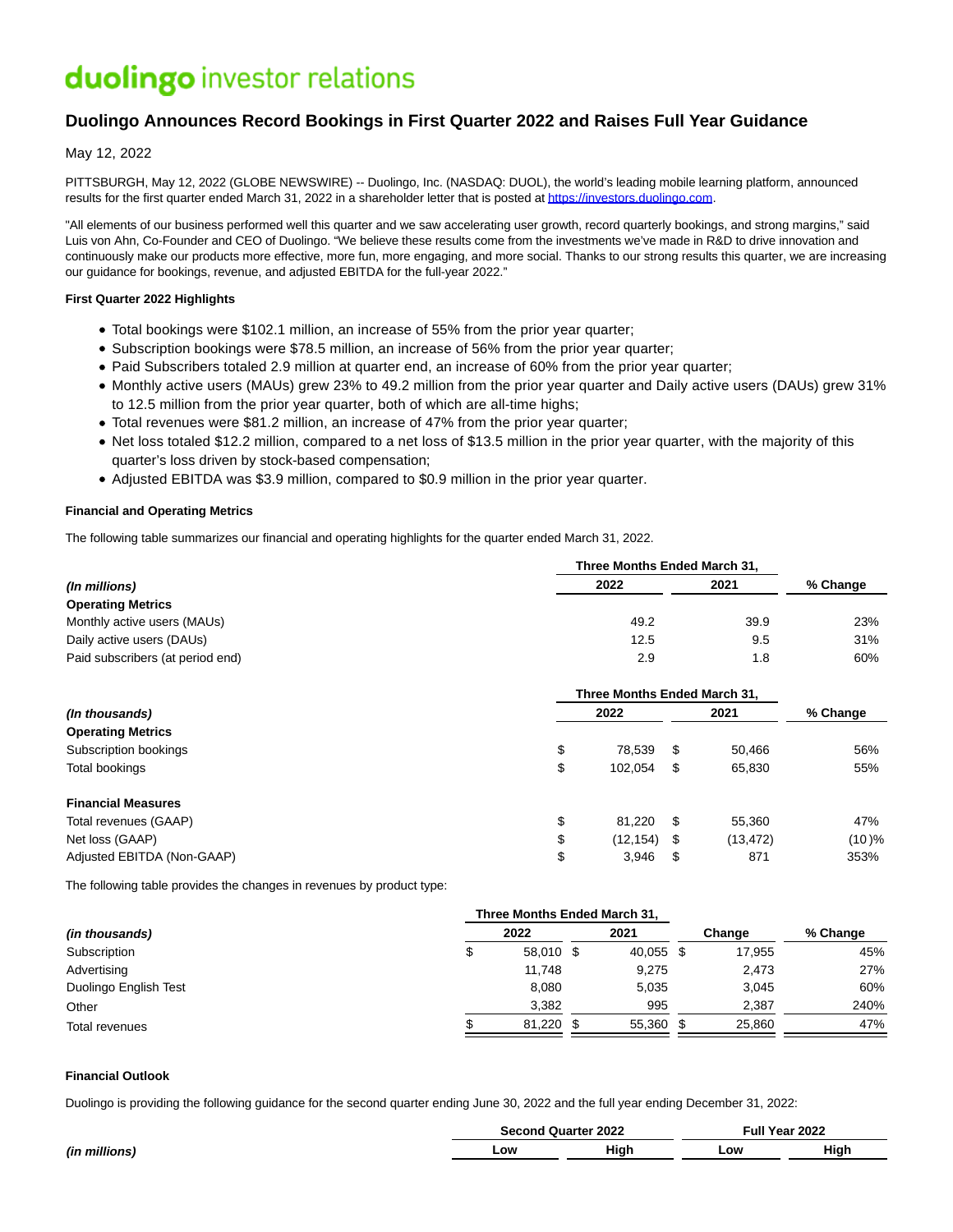# duolingo investor relations

# **Duolingo Announces Record Bookings in First Quarter 2022 and Raises Full Year Guidance**

May 12, 2022

PITTSBURGH, May 12, 2022 (GLOBE NEWSWIRE) -- Duolingo, Inc. (NASDAQ: DUOL), the world's leading mobile learning platform, announced results for the first quarter ended March 31, 2022 in a shareholder letter that is posted a[t https://investors.duolingo.com.](https://www.globenewswire.com/Tracker?data=6gaN2VSECr53jFsF_Q8g0uIJ2FBzfCccOoNr4Pcnt9BsEttSOx8CGf5BiipZx9Fmd7tf5suzitbDdMuR5W_diKubCEEuTWfuXclydQCChLSuPQE2FhBd3eOK49wxoy3W)

"All elements of our business performed well this quarter and we saw accelerating user growth, record quarterly bookings, and strong margins," said Luis von Ahn, Co-Founder and CEO of Duolingo. "We believe these results come from the investments we've made in R&D to drive innovation and continuously make our products more effective, more fun, more engaging, and more social. Thanks to our strong results this quarter, we are increasing our guidance for bookings, revenue, and adjusted EBITDA for the full-year 2022."

## **First Quarter 2022 Highlights**

- Total bookings were \$102.1 million, an increase of 55% from the prior year quarter;
- Subscription bookings were \$78.5 million, an increase of 56% from the prior year quarter;
- Paid Subscribers totaled 2.9 million at quarter end, an increase of 60% from the prior year quarter;
- Monthly active users (MAUs) grew 23% to 49.2 million from the prior year quarter and Daily active users (DAUs) grew 31% to 12.5 million from the prior year quarter, both of which are all-time highs;
- Total revenues were \$81.2 million, an increase of 47% from the prior year quarter;
- Net loss totaled \$12.2 million, compared to a net loss of \$13.5 million in the prior year quarter, with the majority of this quarter's loss driven by stock-based compensation;
- Adjusted EBITDA was \$3.9 million, compared to \$0.9 million in the prior year quarter.

# **Financial and Operating Metrics**

The following table summarizes our financial and operating highlights for the quarter ended March 31, 2022.

|                                  |      | Three Months Ended March 31, |          |  |  |
|----------------------------------|------|------------------------------|----------|--|--|
| (In millions)                    | 2022 | 2021                         | % Change |  |  |
| <b>Operating Metrics</b>         |      |                              |          |  |  |
| Monthly active users (MAUs)      | 49.2 | 39.9                         | 23%      |  |  |
| Daily active users (DAUs)        | 12.5 | 9.5                          | 31%      |  |  |
| Paid subscribers (at period end) | 2.9  | 1.8                          | 60%      |  |  |

|                            |        | Three Months Ended March 31. |      |           |          |  |
|----------------------------|--------|------------------------------|------|-----------|----------|--|
| (In thousands)             |        | 2022                         |      | 2021      | % Change |  |
| <b>Operating Metrics</b>   |        |                              |      |           |          |  |
| Subscription bookings      | c<br>Φ | 78,539                       | S    | 50.466    | 56%      |  |
| Total bookings             | c<br>จ | 102.054                      | \$   | 65,830    | 55%      |  |
| <b>Financial Measures</b>  |        |                              |      |           |          |  |
| Total revenues (GAAP)      | ¢<br>J | 81.220                       | -S   | 55.360    | 47%      |  |
| Net loss (GAAP)            | ጦ<br>Φ | (12, 154)                    | - \$ | (13, 472) | (10)%    |  |
| Adjusted EBITDA (Non-GAAP) | D      | 3.946                        | S    | 871       | 353%     |  |

The following table provides the changes in revenues by product type:

| 2022   |  | 2021                |                              | Change    | % Change |
|--------|--|---------------------|------------------------------|-----------|----------|
|        |  |                     |                              | 17.955    | 45%      |
| 11.748 |  | 9,275               |                              | 2,473     | 27%      |
| 8.080  |  | 5,035               |                              | 3.045     | 60%      |
| 3.382  |  | 995                 |                              | 2,387     | 240%     |
|        |  | 55,360              |                              | 25.860    | 47%      |
|        |  | 58,010 \$<br>81,220 | Three Months Ended March 31, | 40,055 \$ |          |

## **Financial Outlook**

Duolingo is providing the following guidance for the second quarter ending June 30, 2022 and the full year ending December 31, 2022:

|               |     | <b>Second Quarter 2022</b> | $\mathsf{full} \vee$ | <b>Year 2022</b> |
|---------------|-----|----------------------------|----------------------|------------------|
| (in millions) | _ow | Hiah                       | Low                  | High             |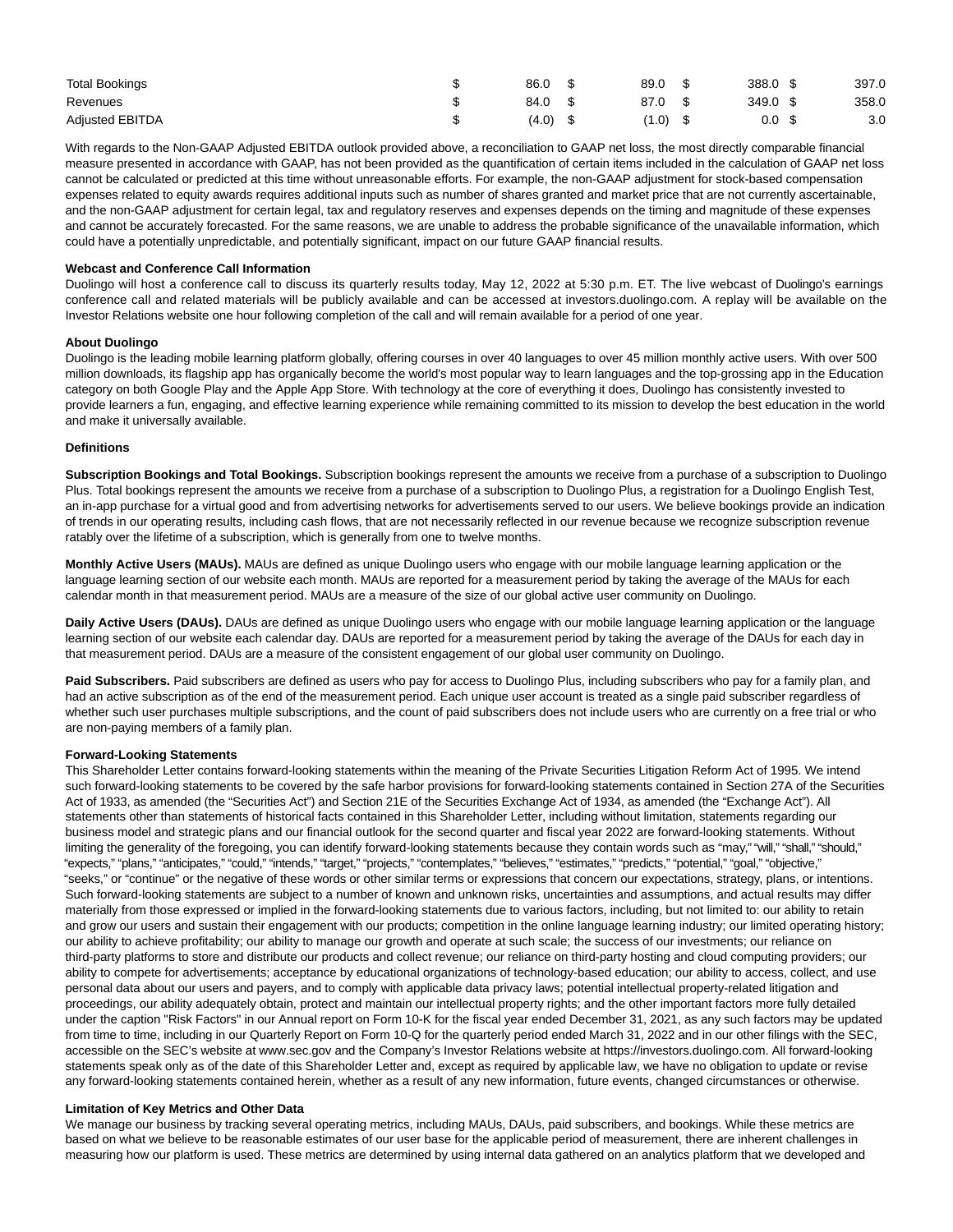| <b>Total Bookings</b>  | 86.0  | 89.0  | 388.0 | 397.0 |
|------------------------|-------|-------|-------|-------|
| Revenues               | 84.0  | 87.0  | 349.0 | 358.0 |
| <b>Adjusted EBITDA</b> | (4.0) | (1.0) | 0.0   | 3.0   |

With regards to the Non-GAAP Adjusted EBITDA outlook provided above, a reconciliation to GAAP net loss, the most directly comparable financial measure presented in accordance with GAAP, has not been provided as the quantification of certain items included in the calculation of GAAP net loss cannot be calculated or predicted at this time without unreasonable efforts. For example, the non-GAAP adjustment for stock-based compensation expenses related to equity awards requires additional inputs such as number of shares granted and market price that are not currently ascertainable, and the non-GAAP adjustment for certain legal, tax and regulatory reserves and expenses depends on the timing and magnitude of these expenses and cannot be accurately forecasted. For the same reasons, we are unable to address the probable significance of the unavailable information, which could have a potentially unpredictable, and potentially significant, impact on our future GAAP financial results.

#### **Webcast and Conference Call Information**

Duolingo will host a conference call to discuss its quarterly results today, May 12, 2022 at 5:30 p.m. ET. The live webcast of Duolingo's earnings conference call and related materials will be publicly available and can be accessed at investors.duolingo.com. A replay will be available on the Investor Relations website one hour following completion of the call and will remain available for a period of one year.

#### **About Duolingo**

Duolingo is the leading mobile learning platform globally, offering courses in over 40 languages to over 45 million monthly active users. With over 500 million downloads, its flagship app has organically become the world's most popular way to learn languages and the top-grossing app in the Education category on both Google Play and the Apple App Store. With technology at the core of everything it does, Duolingo has consistently invested to provide learners a fun, engaging, and effective learning experience while remaining committed to its mission to develop the best education in the world and make it universally available.

#### **Definitions**

**Subscription Bookings and Total Bookings.** Subscription bookings represent the amounts we receive from a purchase of a subscription to Duolingo Plus. Total bookings represent the amounts we receive from a purchase of a subscription to Duolingo Plus, a registration for a Duolingo English Test, an in-app purchase for a virtual good and from advertising networks for advertisements served to our users. We believe bookings provide an indication of trends in our operating results, including cash flows, that are not necessarily reflected in our revenue because we recognize subscription revenue ratably over the lifetime of a subscription, which is generally from one to twelve months.

**Monthly Active Users (MAUs).** MAUs are defined as unique Duolingo users who engage with our mobile language learning application or the language learning section of our website each month. MAUs are reported for a measurement period by taking the average of the MAUs for each calendar month in that measurement period. MAUs are a measure of the size of our global active user community on Duolingo.

Daily Active Users (DAUs). DAUs are defined as unique Duolingo users who engage with our mobile language learning application or the language learning section of our website each calendar day. DAUs are reported for a measurement period by taking the average of the DAUs for each day in that measurement period. DAUs are a measure of the consistent engagement of our global user community on Duolingo.

**Paid Subscribers.** Paid subscribers are defined as users who pay for access to Duolingo Plus, including subscribers who pay for a family plan, and had an active subscription as of the end of the measurement period. Each unique user account is treated as a single paid subscriber regardless of whether such user purchases multiple subscriptions, and the count of paid subscribers does not include users who are currently on a free trial or who are non-paying members of a family plan.

#### **Forward-Looking Statements**

This Shareholder Letter contains forward-looking statements within the meaning of the Private Securities Litigation Reform Act of 1995. We intend such forward-looking statements to be covered by the safe harbor provisions for forward-looking statements contained in Section 27A of the Securities Act of 1933, as amended (the "Securities Act") and Section 21E of the Securities Exchange Act of 1934, as amended (the "Exchange Act"). All statements other than statements of historical facts contained in this Shareholder Letter, including without limitation, statements regarding our business model and strategic plans and our financial outlook for the second quarter and fiscal year 2022 are forward-looking statements. Without limiting the generality of the foregoing, you can identify forward-looking statements because they contain words such as "may," "will," "shall," "should," "expects," "plans," "anticipates," "could," "intends," "target," "projects," "contemplates," "believes," "estimates," "predicts," "potential," "goal," "objective," "seeks," or "continue" or the negative of these words or other similar terms or expressions that concern our expectations, strategy, plans, or intentions. Such forward-looking statements are subject to a number of known and unknown risks, uncertainties and assumptions, and actual results may differ materially from those expressed or implied in the forward-looking statements due to various factors, including, but not limited to: our ability to retain and grow our users and sustain their engagement with our products; competition in the online language learning industry; our limited operating history; our ability to achieve profitability; our ability to manage our growth and operate at such scale; the success of our investments; our reliance on third-party platforms to store and distribute our products and collect revenue; our reliance on third-party hosting and cloud computing providers; our ability to compete for advertisements; acceptance by educational organizations of technology-based education; our ability to access, collect, and use personal data about our users and payers, and to comply with applicable data privacy laws; potential intellectual property-related litigation and proceedings, our ability adequately obtain, protect and maintain our intellectual property rights; and the other important factors more fully detailed under the caption "Risk Factors" in our Annual report on Form 10-K for the fiscal year ended December 31, 2021, as any such factors may be updated from time to time, including in our Quarterly Report on Form 10-Q for the quarterly period ended March 31, 2022 and in our other filings with the SEC, accessible on the SEC's website at www.sec.gov and the Company's Investor Relations website at https://investors.duolingo.com. All forward-looking statements speak only as of the date of this Shareholder Letter and, except as required by applicable law, we have no obligation to update or revise any forward-looking statements contained herein, whether as a result of any new information, future events, changed circumstances or otherwise.

#### **Limitation of Key Metrics and Other Data**

We manage our business by tracking several operating metrics, including MAUs, DAUs, paid subscribers, and bookings. While these metrics are based on what we believe to be reasonable estimates of our user base for the applicable period of measurement, there are inherent challenges in measuring how our platform is used. These metrics are determined by using internal data gathered on an analytics platform that we developed and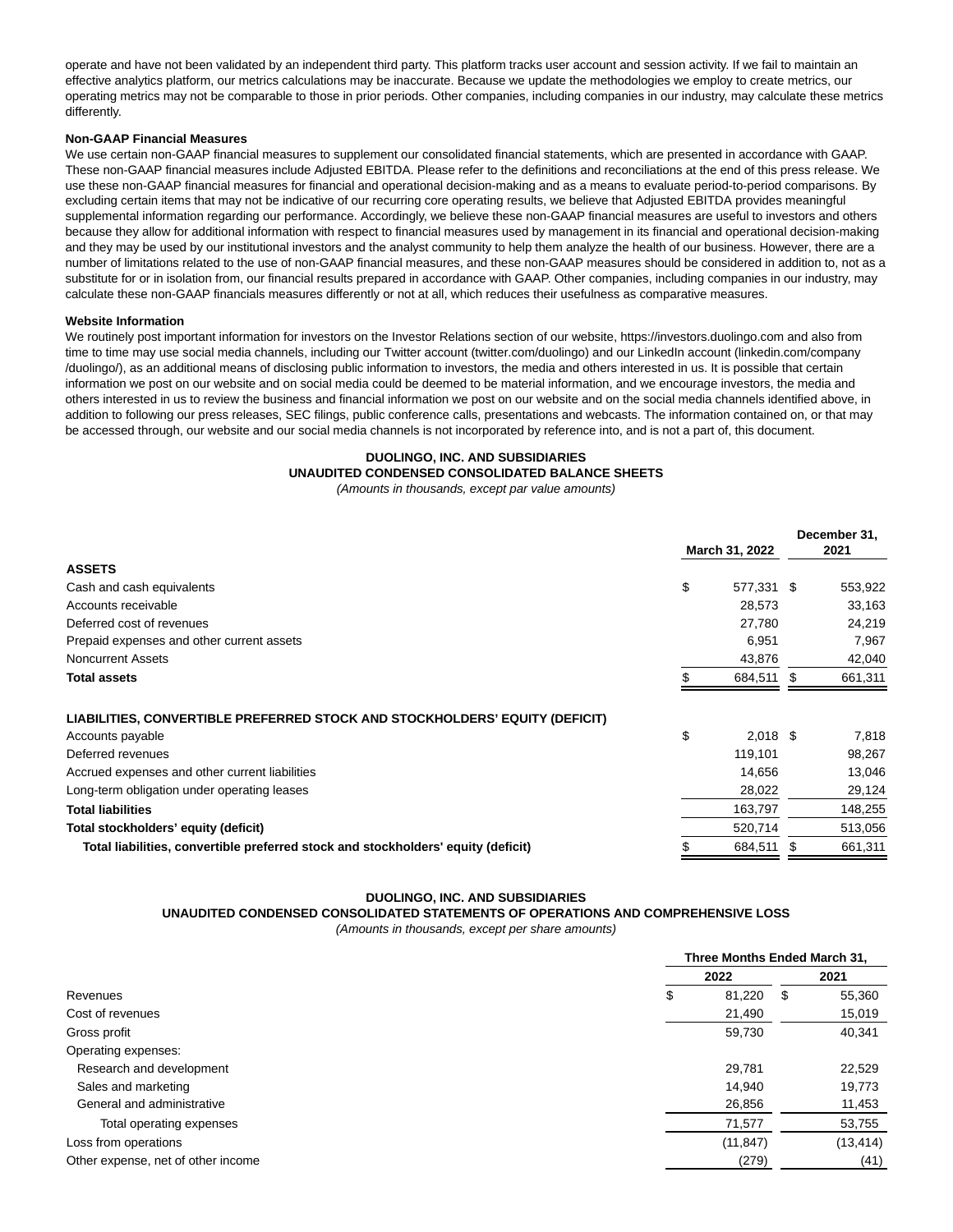operate and have not been validated by an independent third party. This platform tracks user account and session activity. If we fail to maintain an effective analytics platform, our metrics calculations may be inaccurate. Because we update the methodologies we employ to create metrics, our operating metrics may not be comparable to those in prior periods. Other companies, including companies in our industry, may calculate these metrics differently.

#### **Non-GAAP Financial Measures**

We use certain non-GAAP financial measures to supplement our consolidated financial statements, which are presented in accordance with GAAP. These non-GAAP financial measures include Adjusted EBITDA. Please refer to the definitions and reconciliations at the end of this press release. We use these non-GAAP financial measures for financial and operational decision-making and as a means to evaluate period-to-period comparisons. By excluding certain items that may not be indicative of our recurring core operating results, we believe that Adjusted EBITDA provides meaningful supplemental information regarding our performance. Accordingly, we believe these non-GAAP financial measures are useful to investors and others because they allow for additional information with respect to financial measures used by management in its financial and operational decision-making and they may be used by our institutional investors and the analyst community to help them analyze the health of our business. However, there are a number of limitations related to the use of non-GAAP financial measures, and these non-GAAP measures should be considered in addition to, not as a substitute for or in isolation from, our financial results prepared in accordance with GAAP. Other companies, including companies in our industry, may calculate these non-GAAP financials measures differently or not at all, which reduces their usefulness as comparative measures.

#### **Website Information**

We routinely post important information for investors on the Investor Relations section of our website, https://investors.duolingo.com and also from time to time may use social media channels, including our Twitter account (twitter.com/duolingo) and our LinkedIn account (linkedin.com/company /duolingo/), as an additional means of disclosing public information to investors, the media and others interested in us. It is possible that certain information we post on our website and on social media could be deemed to be material information, and we encourage investors, the media and others interested in us to review the business and financial information we post on our website and on the social media channels identified above, in addition to following our press releases, SEC filings, public conference calls, presentations and webcasts. The information contained on, or that may be accessed through, our website and our social media channels is not incorporated by reference into, and is not a part of, this document.

## **DUOLINGO, INC. AND SUBSIDIARIES UNAUDITED CONDENSED CONSOLIDATED BALANCE SHEETS**

(Amounts in thousands, except par value amounts)

|                                                                                   | March 31, 2022   |   | December 31,<br>2021 |
|-----------------------------------------------------------------------------------|------------------|---|----------------------|
| <b>ASSETS</b>                                                                     |                  |   |                      |
| Cash and cash equivalents                                                         | \$<br>577,331 \$ |   | 553,922              |
| Accounts receivable                                                               | 28,573           |   | 33,163               |
| Deferred cost of revenues                                                         | 27,780           |   | 24,219               |
| Prepaid expenses and other current assets                                         | 6,951            |   | 7,967                |
| <b>Noncurrent Assets</b>                                                          | 43,876           |   | 42,040               |
| <b>Total assets</b>                                                               | 684,511          | S | 661,311              |
| LIABILITIES, CONVERTIBLE PREFERRED STOCK AND STOCKHOLDERS' EQUITY (DEFICIT)       |                  |   |                      |
| Accounts payable                                                                  | \$<br>$2,018$ \$ |   | 7,818                |
| Deferred revenues                                                                 | 119,101          |   | 98,267               |
| Accrued expenses and other current liabilities                                    | 14,656           |   | 13,046               |
| Long-term obligation under operating leases                                       | 28,022           |   | 29,124               |
| <b>Total liabilities</b>                                                          | 163,797          |   | 148,255              |
| Total stockholders' equity (deficit)                                              | 520,714          |   | 513,056              |
| Total liabilities, convertible preferred stock and stockholders' equity (deficit) | \$<br>684,511    |   | 661,311              |

# **DUOLINGO, INC. AND SUBSIDIARIES**

# **UNAUDITED CONDENSED CONSOLIDATED STATEMENTS OF OPERATIONS AND COMPREHENSIVE LOSS**

(Amounts in thousands, except per share amounts)

|                                    |      | Three Months Ended March 31, |          |  |  |
|------------------------------------|------|------------------------------|----------|--|--|
|                                    | 2022 |                              | 2021     |  |  |
| Revenues                           | \$   | 81,220<br>\$                 | 55,360   |  |  |
| Cost of revenues                   |      | 21,490                       | 15,019   |  |  |
| Gross profit                       |      | 59,730                       | 40,341   |  |  |
| Operating expenses:                |      |                              |          |  |  |
| Research and development           |      | 29,781                       | 22,529   |  |  |
| Sales and marketing                |      | 14,940                       | 19,773   |  |  |
| General and administrative         |      | 26,856                       | 11,453   |  |  |
| Total operating expenses           |      | 71,577                       | 53,755   |  |  |
| Loss from operations               |      | (11, 847)                    | (13,414) |  |  |
| Other expense, net of other income |      | (279)                        | (41)     |  |  |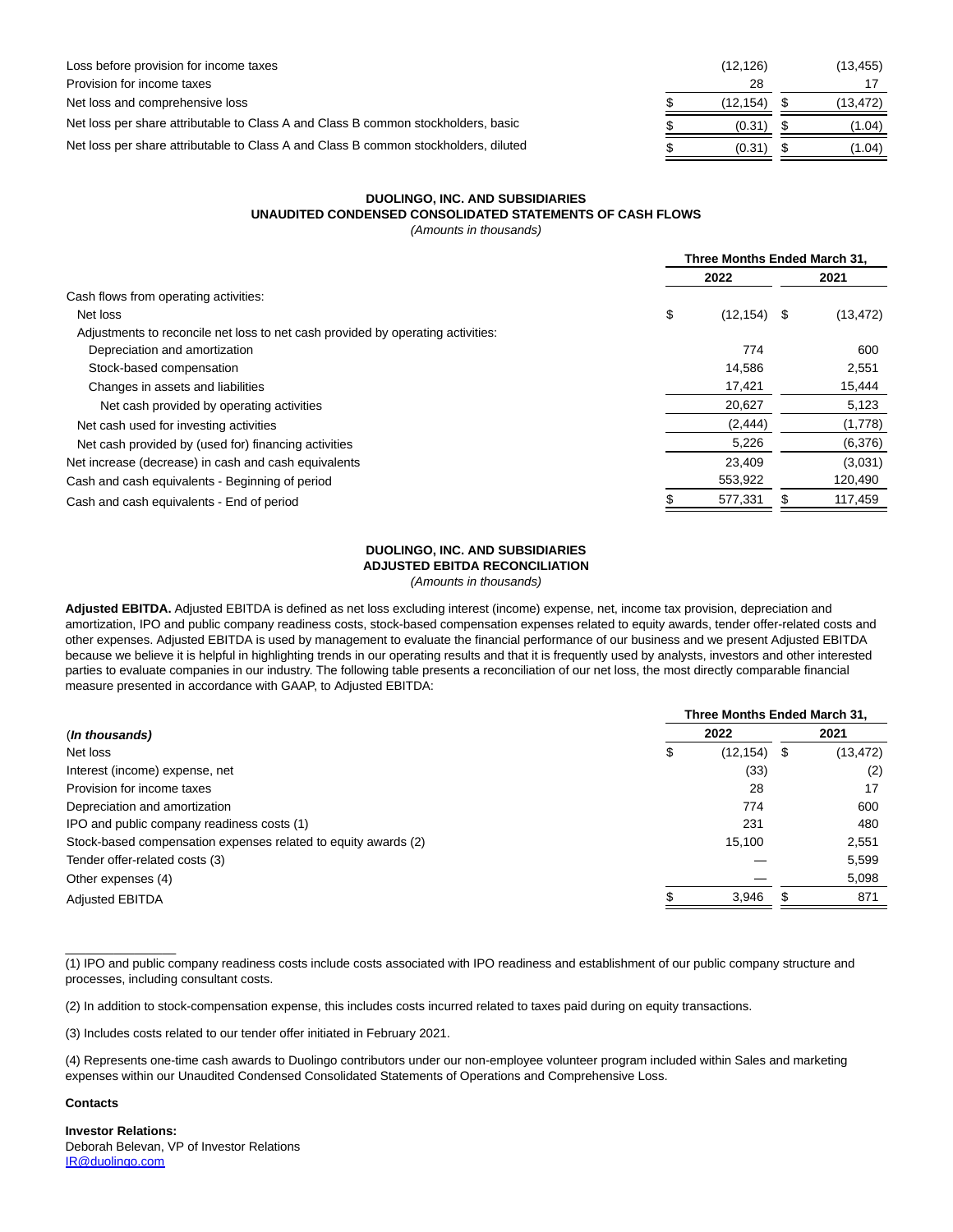| Loss before provision for income taxes                                              | (12, 126) | (13,455) |
|-------------------------------------------------------------------------------------|-----------|----------|
| Provision for income taxes                                                          | 28        |          |
| Net loss and comprehensive loss                                                     | (12.154)  | (13,472) |
| Net loss per share attributable to Class A and Class B common stockholders, basic   | (0.31)    | (1.04)   |
| Net loss per share attributable to Class A and Class B common stockholders, diluted | (0.31)    | (1.04)   |

# **DUOLINGO, INC. AND SUBSIDIARIES UNAUDITED CONDENSED CONSOLIDATED STATEMENTS OF CASH FLOWS**

(Amounts in thousands)

|                                                                                 |      | Three Months Ended March 31, |      |           |  |  |
|---------------------------------------------------------------------------------|------|------------------------------|------|-----------|--|--|
|                                                                                 | 2022 |                              | 2021 |           |  |  |
| Cash flows from operating activities:                                           |      |                              |      |           |  |  |
| Net loss                                                                        | \$   | (12, 154)                    | \$   | (13, 472) |  |  |
| Adjustments to reconcile net loss to net cash provided by operating activities: |      |                              |      |           |  |  |
| Depreciation and amortization                                                   |      | 774                          |      | 600       |  |  |
| Stock-based compensation                                                        |      | 14.586                       |      | 2,551     |  |  |
| Changes in assets and liabilities                                               |      | 17,421                       |      | 15,444    |  |  |
| Net cash provided by operating activities                                       |      | 20,627                       |      | 5,123     |  |  |
| Net cash used for investing activities                                          |      | (2, 444)                     |      | (1,778)   |  |  |
| Net cash provided by (used for) financing activities                            |      | 5,226                        |      | (6,376)   |  |  |
| Net increase (decrease) in cash and cash equivalents                            |      | 23.409                       |      | (3,031)   |  |  |
| Cash and cash equivalents - Beginning of period                                 |      | 553,922                      |      | 120,490   |  |  |
| Cash and cash equivalents - End of period                                       |      | 577,331                      |      | 117,459   |  |  |

# **DUOLINGO, INC. AND SUBSIDIARIES**

**ADJUSTED EBITDA RECONCILIATION**

(Amounts in thousands)

**Adjusted EBITDA.** Adjusted EBITDA is defined as net loss excluding interest (income) expense, net, income tax provision, depreciation and amortization, IPO and public company readiness costs, stock-based compensation expenses related to equity awards, tender offer-related costs and other expenses. Adjusted EBITDA is used by management to evaluate the financial performance of our business and we present Adjusted EBITDA because we believe it is helpful in highlighting trends in our operating results and that it is frequently used by analysts, investors and other interested parties to evaluate companies in our industry. The following table presents a reconciliation of our net loss, the most directly comparable financial measure presented in accordance with GAAP, to Adjusted EBITDA:

|                                                                | Three Months Ended March 31, |           |    |           |  |  |  |
|----------------------------------------------------------------|------------------------------|-----------|----|-----------|--|--|--|
| (In thousands)                                                 |                              | 2022      |    | 2021      |  |  |  |
| Net loss                                                       | Ф                            | (12, 154) | -5 | (13, 472) |  |  |  |
| Interest (income) expense, net                                 |                              | (33)      |    | (2)       |  |  |  |
| Provision for income taxes                                     |                              | 28        |    | 17        |  |  |  |
| Depreciation and amortization                                  |                              | 774       |    | 600       |  |  |  |
| IPO and public company readiness costs (1)                     |                              | 231       |    | 480       |  |  |  |
| Stock-based compensation expenses related to equity awards (2) |                              | 15,100    |    | 2,551     |  |  |  |
| Tender offer-related costs (3)                                 |                              |           |    | 5,599     |  |  |  |
| Other expenses (4)                                             |                              |           |    | 5,098     |  |  |  |
| <b>Adjusted EBITDA</b>                                         |                              | 3,946     |    | 871       |  |  |  |

(1) IPO and public company readiness costs include costs associated with IPO readiness and establishment of our public company structure and processes, including consultant costs.

(2) In addition to stock-compensation expense, this includes costs incurred related to taxes paid during on equity transactions.

(3) Includes costs related to our tender offer initiated in February 2021.

(4) Represents one-time cash awards to Duolingo contributors under our non-employee volunteer program included within Sales and marketing expenses within our Unaudited Condensed Consolidated Statements of Operations and Comprehensive Loss.

**Contacts**

 $\overline{\phantom{a}}$  , where  $\overline{\phantom{a}}$ 

**Investor Relations:** Deborah Belevan, VP of Investor Relations [IR@duolingo.com](https://www.globenewswire.com/Tracker?data=3X205kw6EL2PplKzYzzAvEOs2dVUuFCL1AcrVZILJAuKDH5EkJfv-XkI3lJL9aBAFu1g5ylgK3FlwRxdcrb0zA==)